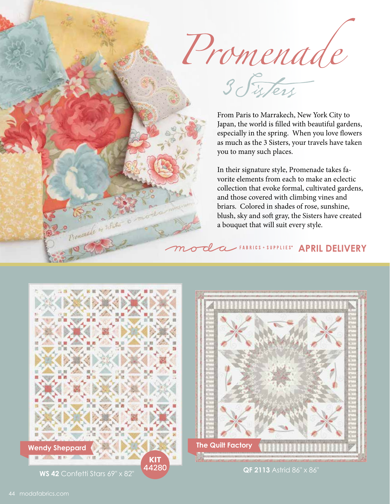Promenade

From Paris to Marrakech, New York City to Japan, the world is filled with beautiful gardens, especially in the spring. When you love flowers as much as the 3 Sisters, your travels have taken you to many such places.

In their signature style, Promenade takes favorite elements from each to make an eclectic collection that evoke formal, cultivated gardens, and those covered with climbing vines and briars. Colored in shades of rose, sunshine, blush, sky and soft gray, the Sisters have created a bouquet that will suit every style.

## *APRIL DELIVERY*



Den Maria Compo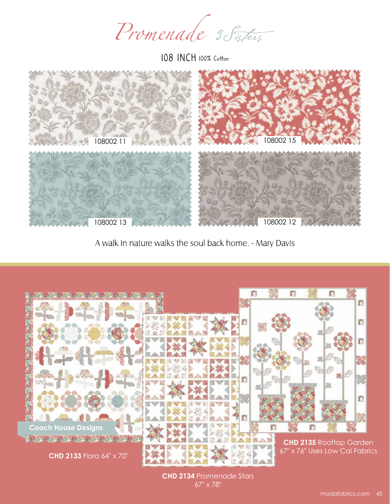Promenade 3 Sisters

108 INCH 100% Cotton



A walk in nature walks the soul back home. - Mary Davis



**CHD 2134** Promenade Stars 67" x 78"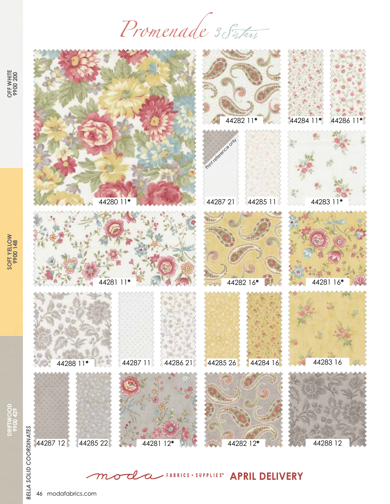Promenade 3 Sisters



*APRIL DELIVERY*  $\overline{\boldsymbol{\alpha}}$ 

**OFF WHITE**<br>9900 200 **OFF WHITE 9900 200**

**DRIFTWOOD 9900 429**

46 modafabrics.com